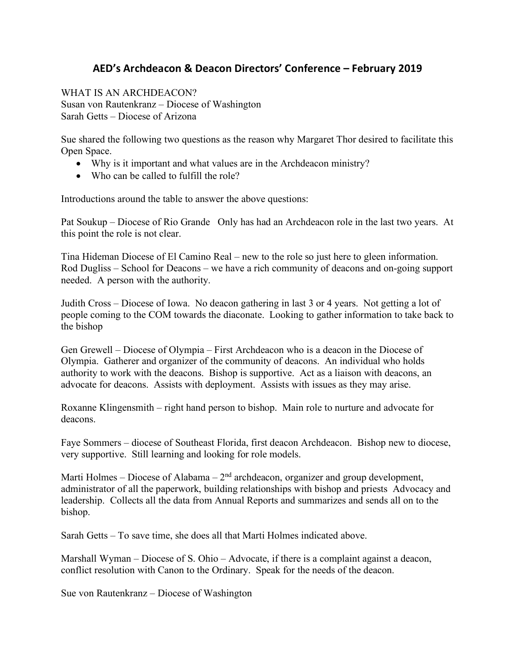## **AED's Archdeacon & Deacon Directors' Conference – February 2019**

WHAT IS AN ARCHDEACON? Susan von Rautenkranz – Diocese of Washington Sarah Getts – Diocese of Arizona

Sue shared the following two questions as the reason why Margaret Thor desired to facilitate this Open Space.

- Why is it important and what values are in the Archdeacon ministry?
- Who can be called to fulfill the role?

Introductions around the table to answer the above questions:

Pat Soukup – Diocese of Rio Grande Only has had an Archdeacon role in the last two years. At this point the role is not clear.

Tina Hideman Diocese of El Camino Real – new to the role so just here to gleen information. Rod Dugliss – School for Deacons – we have a rich community of deacons and on-going support needed. A person with the authority.

Judith Cross – Diocese of Iowa. No deacon gathering in last 3 or 4 years. Not getting a lot of people coming to the COM towards the diaconate. Looking to gather information to take back to the bishop

Gen Grewell – Diocese of Olympia – First Archdeacon who is a deacon in the Diocese of Olympia. Gatherer and organizer of the community of deacons. An individual who holds authority to work with the deacons. Bishop is supportive. Act as a liaison with deacons, an advocate for deacons. Assists with deployment. Assists with issues as they may arise.

Roxanne Klingensmith – right hand person to bishop. Main role to nurture and advocate for deacons.

Faye Sommers – diocese of Southeast Florida, first deacon Archdeacon. Bishop new to diocese, very supportive. Still learning and looking for role models.

Marti Holmes – Diocese of Alabama –  $2<sup>nd</sup>$  archdeacon, organizer and group development, administrator of all the paperwork, building relationships with bishop and priests Advocacy and leadership. Collects all the data from Annual Reports and summarizes and sends all on to the bishop.

Sarah Getts – To save time, she does all that Marti Holmes indicated above.

Marshall Wyman – Diocese of S. Ohio – Advocate, if there is a complaint against a deacon, conflict resolution with Canon to the Ordinary. Speak for the needs of the deacon.

Sue von Rautenkranz – Diocese of Washington